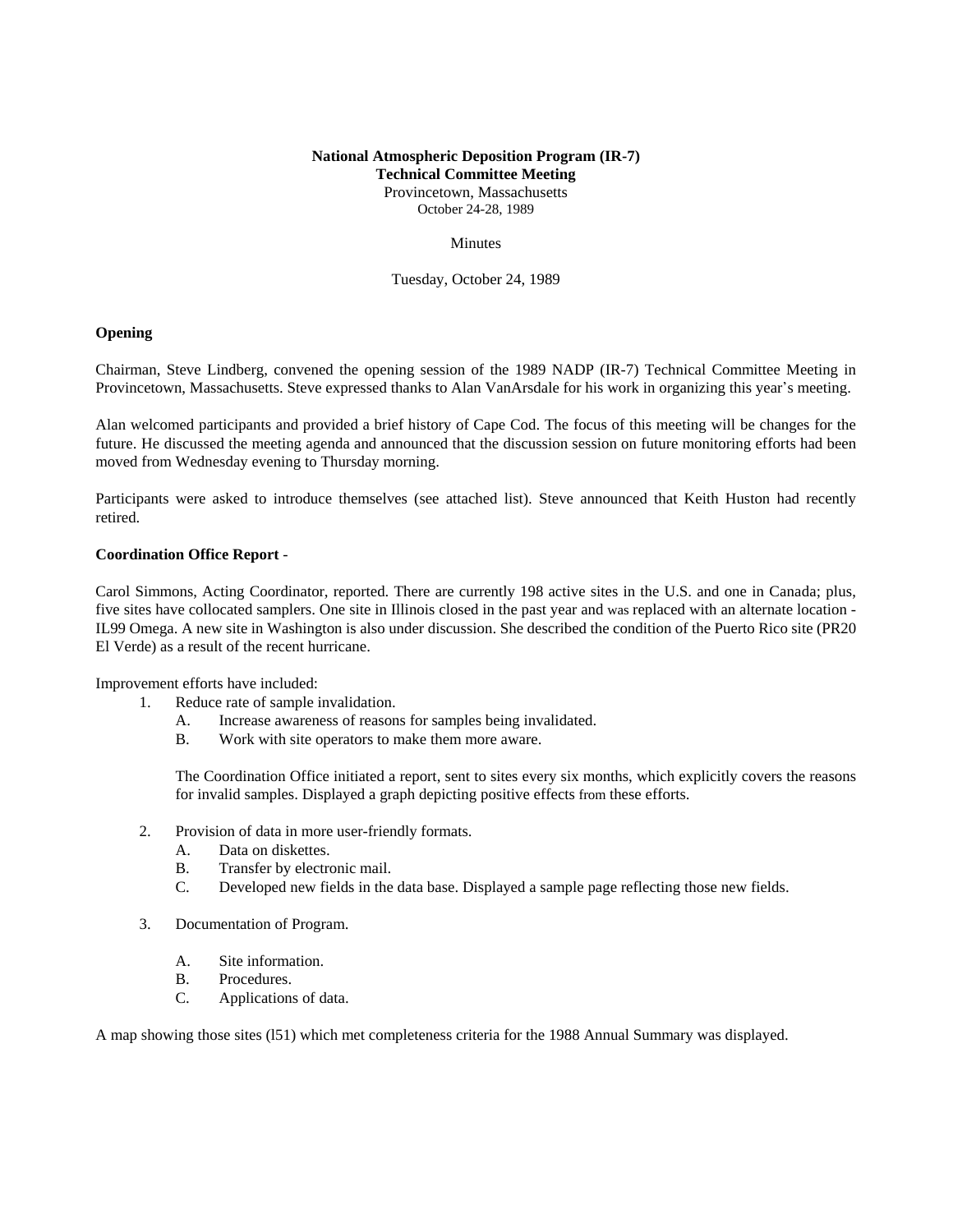# **National Atmospheric Deposition Program (IR-7) Technical Committee Meeting** Provincetown, Massachusetts

October 24-28, 1989

## **Minutes**

Tuesday, October 24, 1989

# **Opening**

Chairman, Steve Lindberg, convened the opening session of the 1989 NADP (IR-7) Technical Committee Meeting in Provincetown, Massachusetts. Steve expressed thanks to Alan VanArsdale for his work in organizing this year's meeting.

Alan welcomed participants and provided a brief history of Cape Cod. The focus of this meeting will be changes for the future. He discussed the meeting agenda and announced that the discussion session on future monitoring efforts had been moved from Wednesday evening to Thursday morning.

Participants were asked to introduce themselves (see attached list). Steve announced that Keith Huston had recently retired.

# **Coordination Office Report** -

Carol Simmons, Acting Coordinator, reported. There are currently 198 active sites in the U.S. and one in Canada; plus, five sites have collocated samplers. One site in Illinois closed in the past year and was replaced with an alternate location - IL99 Omega. A new site in Washington is also under discussion. She described the condition of the Puerto Rico site (PR20 El Verde) as a result of the recent hurricane.

Improvement efforts have included:

- 1. Reduce rate of sample invalidation.
	- A. Increase awareness of reasons for samples being invalidated.
	- B. Work with site operators to make them more aware.

The Coordination Office initiated a report, sent to sites every six months, which explicitly covers the reasons for invalid samples. Displayed a graph depicting positive effects from these efforts.

- 2. Provision of data in more user-friendly formats.
	- A. Data on diskettes.
	- B. Transfer by electronic mail.
	- C. Developed new fields in the data base. Displayed a sample page reflecting those new fields.
- 3. Documentation of Program.
	- A. Site information.
	- B. Procedures.
	- C. Applications of data.

A map showing those sites (l51) which met completeness criteria for the 1988 Annual Summary was displayed.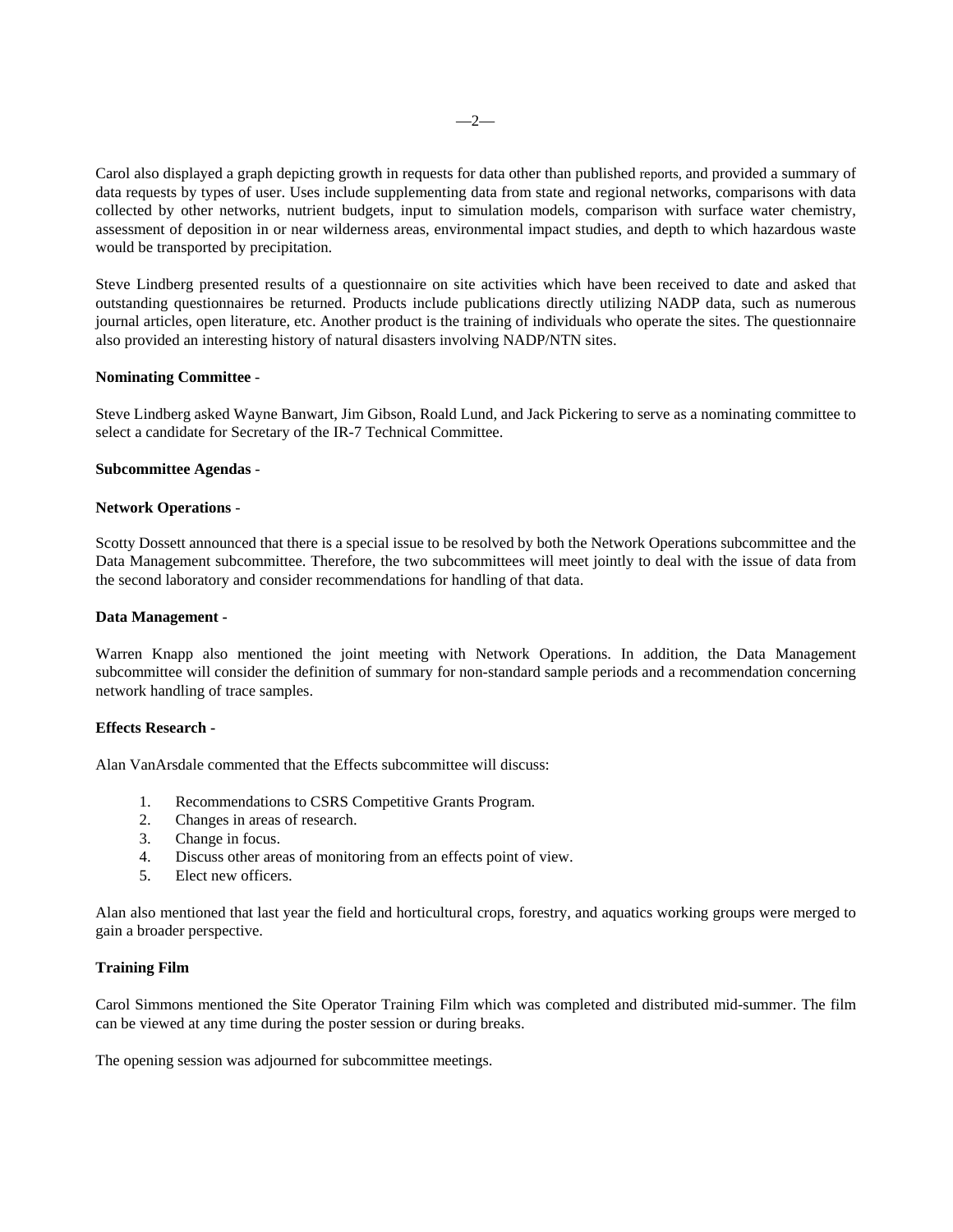Carol also displayed a graph depicting growth in requests for data other than published reports, and provided a summary of data requests by types of user. Uses include supplementing data from state and regional networks, comparisons with data collected by other networks, nutrient budgets, input to simulation models, comparison with surface water chemistry, assessment of deposition in or near wilderness areas, environmental impact studies, and depth to which hazardous waste would be transported by precipitation.

Steve Lindberg presented results of a questionnaire on site activities which have been received to date and asked that outstanding questionnaires be returned. Products include publications directly utilizing NADP data, such as numerous journal articles, open literature, etc. Another product is the training of individuals who operate the sites. The questionnaire also provided an interesting history of natural disasters involving NADP/NTN sites.

# **Nominating Committee** -

Steve Lindberg asked Wayne Banwart, Jim Gibson, Roald Lund, and Jack Pickering to serve as a nominating committee to select a candidate for Secretary of the IR-7 Technical Committee.

#### **Subcommittee Agendas** -

### **Network Operations** -

Scotty Dossett announced that there is a special issue to be resolved by both the Network Operations subcommittee and the Data Management subcommittee. Therefore, the two subcommittees will meet jointly to deal with the issue of data from the second laboratory and consider recommendations for handling of that data.

#### **Data Management -**

Warren Knapp also mentioned the joint meeting with Network Operations. In addition, the Data Management subcommittee will consider the definition of summary for non-standard sample periods and a recommendation concerning network handling of trace samples.

## **Effects Research -**

Alan VanArsdale commented that the Effects subcommittee will discuss:

- 1. Recommendations to CSRS Competitive Grants Program.
- 2. Changes in areas of research.
- 3. Change in focus.
- 4. Discuss other areas of monitoring from an effects point of view.
- 5. Elect new officers.

Alan also mentioned that last year the field and horticultural crops, forestry, and aquatics working groups were merged to gain a broader perspective.

## **Training Film**

Carol Simmons mentioned the Site Operator Training Film which was completed and distributed mid-summer. The film can be viewed at any time during the poster session or during breaks.

The opening session was adjourned for subcommittee meetings.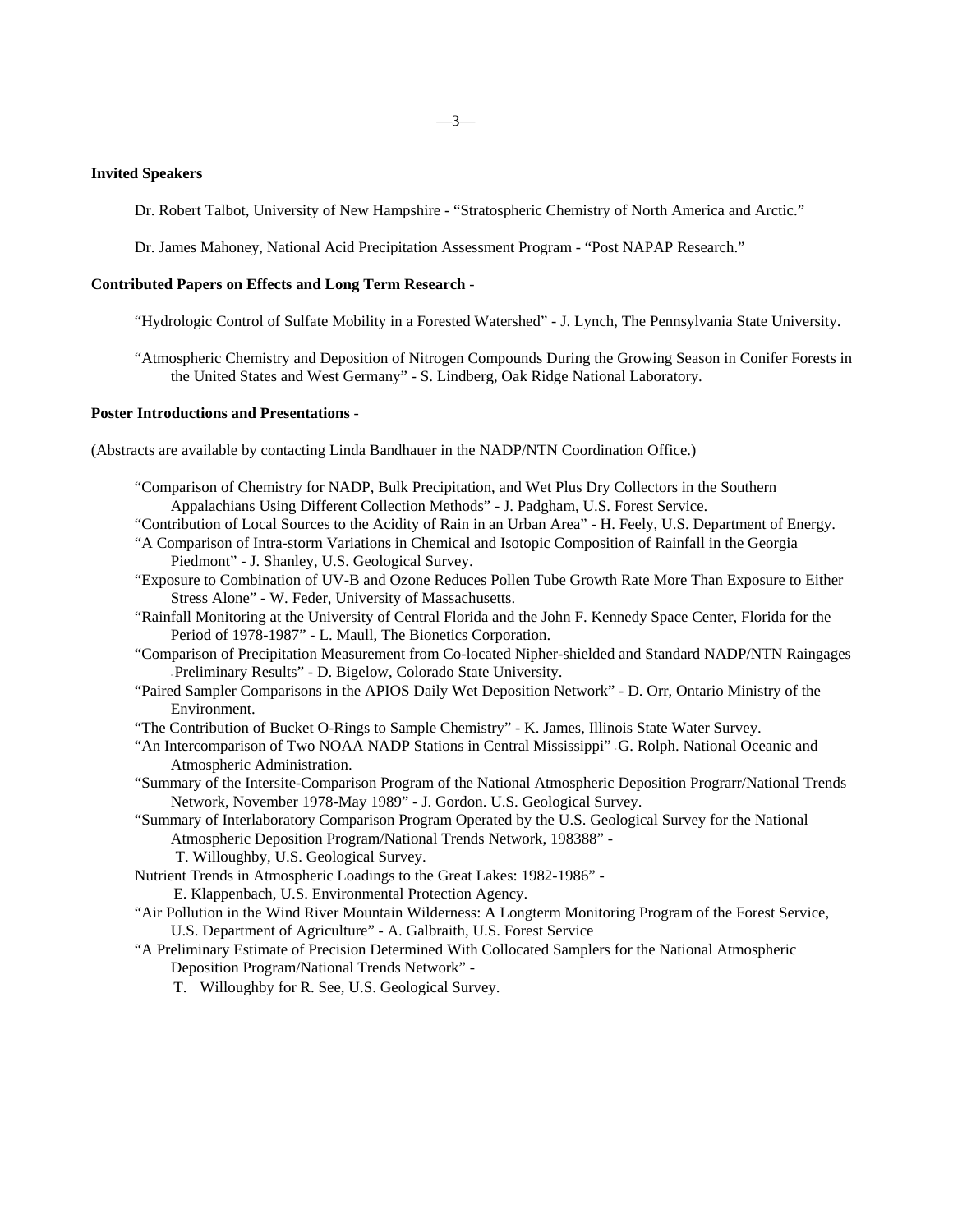# **Invited Speakers**

Dr. Robert Talbot, University of New Hampshire - "Stratospheric Chemistry of North America and Arctic."

Dr. James Mahoney, National Acid Precipitation Assessment Program - "Post NAPAP Research."

# **Contributed Papers on Effects and Long Term Research** -

"Hydrologic Control of Sulfate Mobility in a Forested Watershed" - J. Lynch, The Pennsylvania State University.

"Atmospheric Chemistry and Deposition of Nitrogen Compounds During the Growing Season in Conifer Forests in the United States and West Germany" - S. Lindberg, Oak Ridge National Laboratory.

### **Poster Introductions and Presentations** -

(Abstracts are available by contacting Linda Bandhauer in the NADP/NTN Coordination Office.)

- "Comparison of Chemistry for NADP, Bulk Precipitation, and Wet Plus Dry Collectors in the Southern Appalachians Using Different Collection Methods" - J. Padgham, U.S. Forest Service.
- "Contribution of Local Sources to the Acidity of Rain in an Urban Area" H. Feely, U.S. Department of Energy.
- "A Comparison of Intra-storm Variations in Chemical and Isotopic Composition of Rainfall in the Georgia Piedmont" - J. Shanley, U.S. Geological Survey.
- "Exposure to Combination of UV-B and Ozone Reduces Pollen Tube Growth Rate More Than Exposure to Either Stress Alone" - W. Feder, University of Massachusetts.
- "Rainfall Monitoring at the University of Central Florida and the John F. Kennedy Space Center, Florida for the Period of 1978-1987" - L. Maull, The Bionetics Corporation.
- "Comparison of Precipitation Measurement from Co-located Nipher-shielded and Standard NADP/NTN Raingages - Preliminary Results" - D. Bigelow, Colorado State University.
- "Paired Sampler Comparisons in the APIOS Daily Wet Deposition Network" D. Orr, Ontario Ministry of the Environment.
- "The Contribution of Bucket O-Rings to Sample Chemistry" K. James, Illinois State Water Survey.
- "An Intercomparison of Two NOAA NADP Stations in Central Mississippi" G. Rolph. National Oceanic and Atmospheric Administration.
- "Summary of the Intersite-Comparison Program of the National Atmospheric Deposition Prograrr/National Trends Network, November 1978-May 1989" - J. Gordon. U.S. Geological Survey.
- "Summary of Interlaboratory Comparison Program Operated by the U.S. Geological Survey for the National Atmospheric Deposition Program/National Trends Network, 198388" -
	- T. Willoughby, U.S. Geological Survey.
- Nutrient Trends in Atmospheric Loadings to the Great Lakes: 1982-1986"
	- E. Klappenbach, U.S. Environmental Protection Agency.
- "Air Pollution in the Wind River Mountain Wilderness: A Longterm Monitoring Program of the Forest Service, U.S. Department of Agriculture" - A. Galbraith, U.S. Forest Service
- "A Preliminary Estimate of Precision Determined With Collocated Samplers for the National Atmospheric Deposition Program/National Trends Network" -
	- T. Willoughby for R. See, U.S. Geological Survey.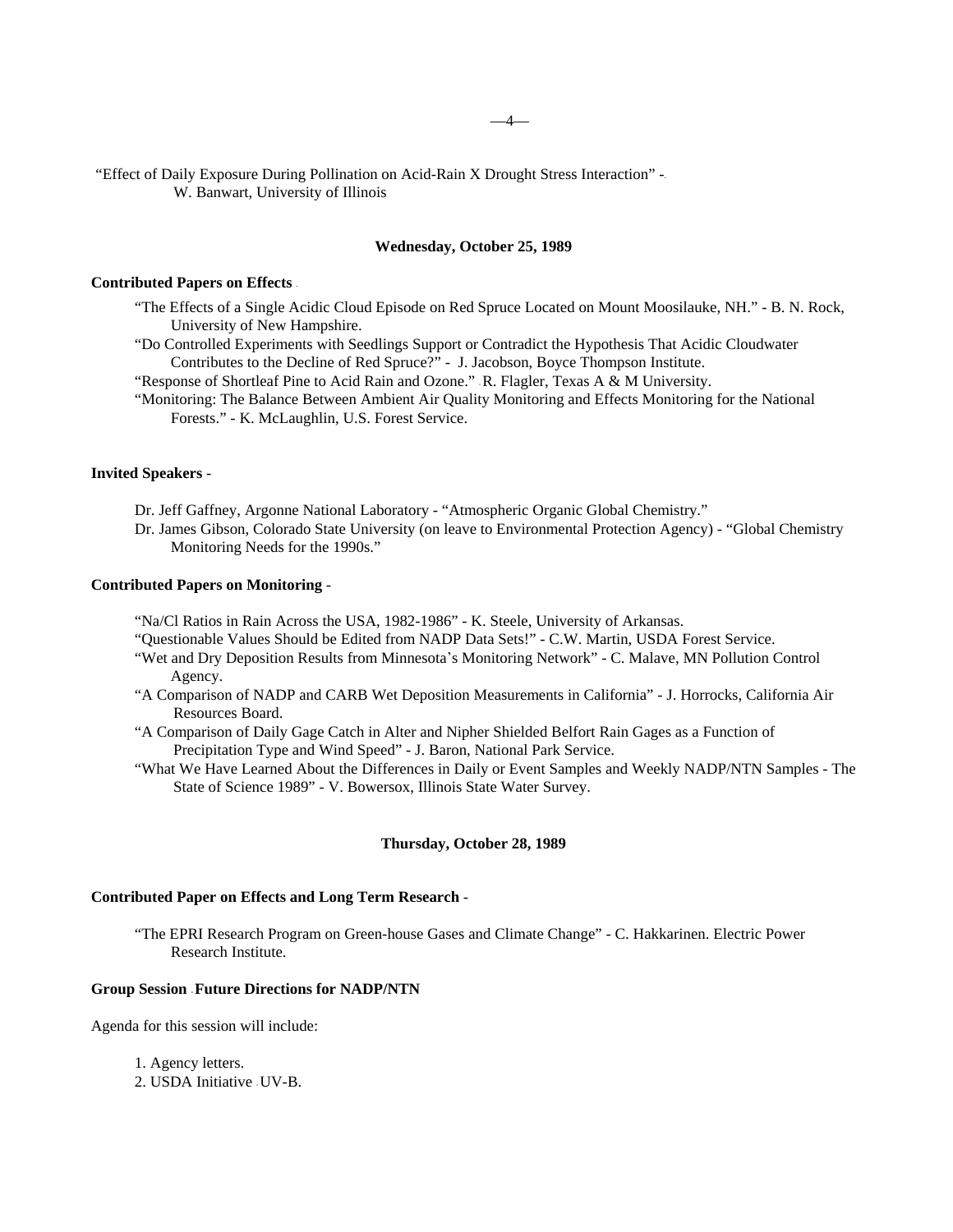"Effect of Daily Exposure During Pollination on Acid-Rain X Drought Stress Interaction" -- W. Banwart, University of Illinois

# **Wednesday, October 25, 1989**

### **Contributed Papers on Effects** -

- "The Effects of a Single Acidic Cloud Episode on Red Spruce Located on Mount Moosilauke, NH." B. N. Rock, University of New Hampshire.
- "Do Controlled Experiments with Seedlings Support or Contradict the Hypothesis That Acidic Cloudwater Contributes to the Decline of Red Spruce?" - J. Jacobson, Boyce Thompson Institute.

"Response of Shortleaf Pine to Acid Rain and Ozone." - R. Flagler, Texas A & M University.

"Monitoring: The Balance Between Ambient Air Quality Monitoring and Effects Monitoring for the National Forests." - K. McLaughlin, U.S. Forest Service.

# **Invited Speakers** -

Dr. Jeff Gaffney, Argonne National Laboratory - "Atmospheric Organic Global Chemistry."

Dr. James Gibson, Colorado State University (on leave to Environmental Protection Agency) - "Global Chemistry Monitoring Needs for the 1990s."

#### **Contributed Papers on Monitoring** -

- "Na/Cl Ratios in Rain Across the USA, 1982-1986" K. Steele, University of Arkansas.
- "Questionable Values Should be Edited from NADP Data Sets!" C.W. Martin, USDA Forest Service.
- "Wet and Dry Deposition Results from Minnesota\*s Monitoring Network" C. Malave, MN Pollution Control Agency.
- "A Comparison of NADP and CARB Wet Deposition Measurements in California" J. Horrocks, California Air Resources Board.
- "A Comparison of Daily Gage Catch in Alter and Nipher Shielded Belfort Rain Gages as a Function of Precipitation Type and Wind Speed" - J. Baron, National Park Service.
- "What We Have Learned About the Differences in Daily or Event Samples and Weekly NADP/NTN Samples The State of Science 1989" - V. Bowersox, Illinois State Water Survey.

## **Thursday, October 28, 1989**

# **Contributed Paper on Effects and Long Term Research** -

"The EPRI Research Program on Green-house Gases and Climate Change" - C. Hakkarinen. Electric Power Research Institute.

## **Group Session - Future Directions for NADP/NTN**

Agenda for this session will include:

1. Agency letters.

2. USDA Initiative - UV-B.

 $-4-$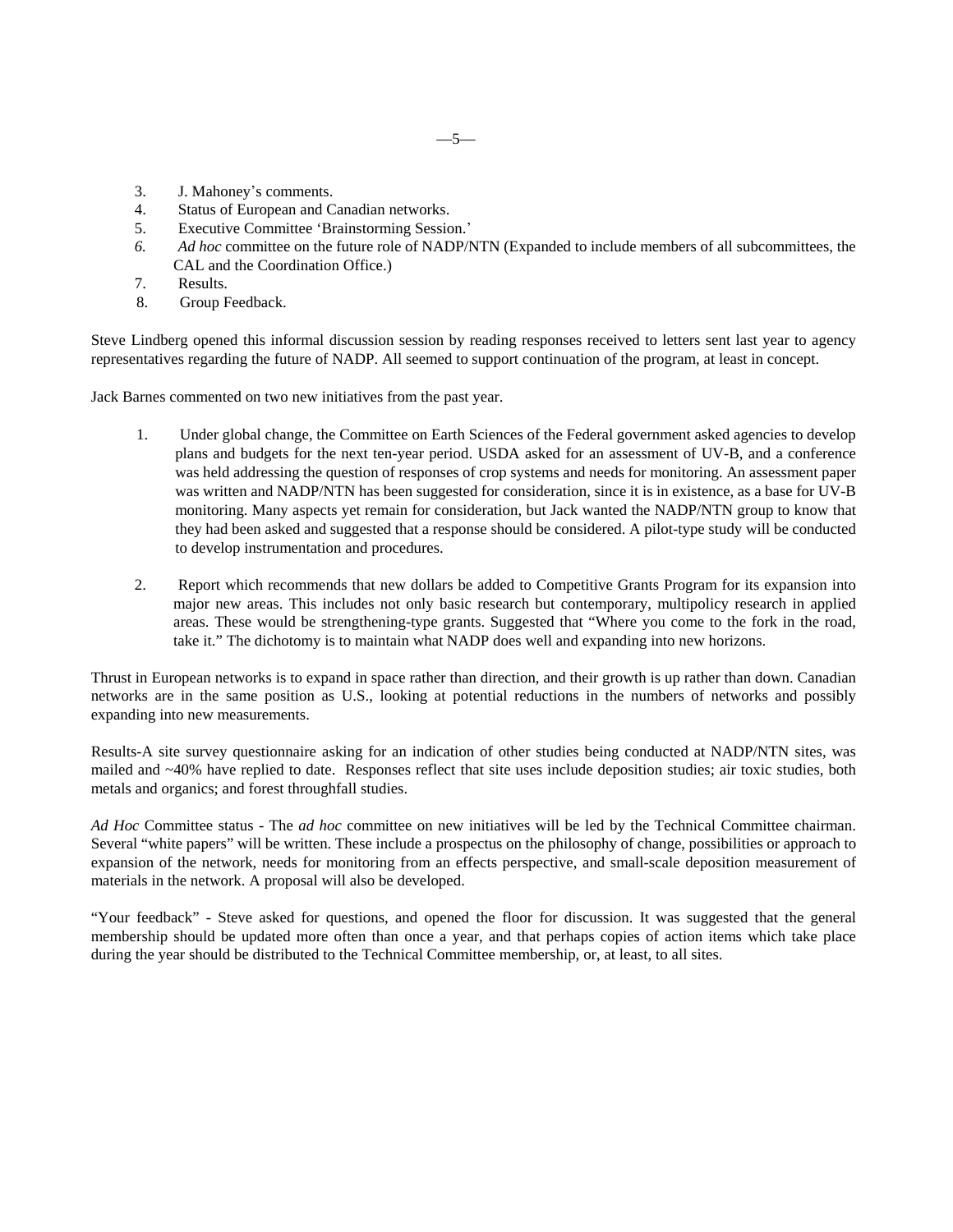- 3. J. Mahoney's comments.
- 4. Status of European and Canadian networks.
- 5. Executive Committee 'Brainstorming Session.\*
- *6. Ad hoc* committee on the future role of NADP/NTN (Expanded to include members of all subcommittees, the CAL and the Coordination Office.)
- 7. Results.
- 8. Group Feedback.

Steve Lindberg opened this informal discussion session by reading responses received to letters sent last year to agency representatives regarding the future of NADP. All seemed to support continuation of the program, at least in concept.

Jack Barnes commented on two new initiatives from the past year.

- 1. Under global change, the Committee on Earth Sciences of the Federal government asked agencies to develop plans and budgets for the next ten-year period. USDA asked for an assessment of UV-B, and a conference was held addressing the question of responses of crop systems and needs for monitoring. An assessment paper was written and NADP/NTN has been suggested for consideration, since it is in existence, as a base for UV-B monitoring. Many aspects yet remain for consideration, but Jack wanted the NADP/NTN group to know that they had been asked and suggested that a response should be considered. A pilot-type study will be conducted to develop instrumentation and procedures.
- 2. Report which recommends that new dollars be added to Competitive Grants Program for its expansion into major new areas. This includes not only basic research but contemporary, multipolicy research in applied areas. These would be strengthening-type grants. Suggested that "Where you come to the fork in the road, take it." The dichotomy is to maintain what NADP does well and expanding into new horizons.

Thrust in European networks is to expand in space rather than direction, and their growth is up rather than down. Canadian networks are in the same position as U.S., looking at potential reductions in the numbers of networks and possibly expanding into new measurements.

Results-A site survey questionnaire asking for an indication of other studies being conducted at NADP/NTN sites, was mailed and ~40% have replied to date. Responses reflect that site uses include deposition studies; air toxic studies, both metals and organics; and forest throughfall studies.

*Ad Hoc* Committee status - The *ad hoc* committee on new initiatives will be led by the Technical Committee chairman. Several "white papers" will be written. These include a prospectus on the philosophy of change, possibilities or approach to expansion of the network, needs for monitoring from an effects perspective, and small-scale deposition measurement of materials in the network. A proposal will also be developed.

"Your feedback" - Steve asked for questions, and opened the floor for discussion. It was suggested that the general membership should be updated more often than once a year, and that perhaps copies of action items which take place during the year should be distributed to the Technical Committee membership, or, at least, to all sites.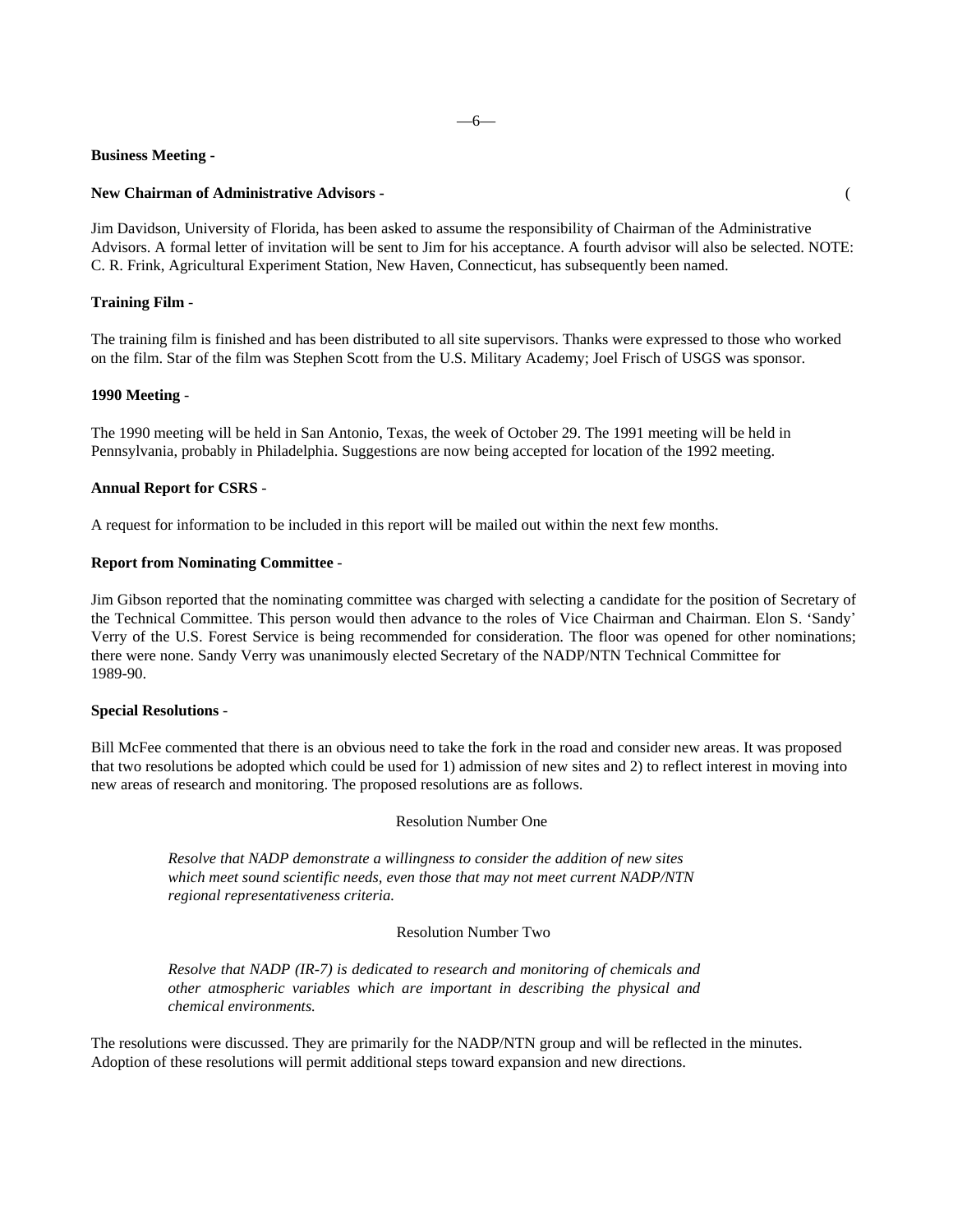#### **Business Meeting -**

#### **New Chairman of Administrative Advisors -** (

Jim Davidson, University of Florida, has been asked to assume the responsibility of Chairman of the Administrative Advisors. A formal letter of invitation will be sent to Jim for his acceptance. A fourth advisor will also be selected. NOTE: C. R. Frink, Agricultural Experiment Station, New Haven, Connecticut, has subsequently been named.

### **Training Film** -

The training film is finished and has been distributed to all site supervisors. Thanks were expressed to those who worked on the film. Star of the film was Stephen Scott from the U.S. Military Academy; Joel Frisch of USGS was sponsor.

# **1990 Meeting** -

The 1990 meeting will be held in San Antonio, Texas, the week of October 29. The 1991 meeting will be held in Pennsylvania, probably in Philadelphia. Suggestions are now being accepted for location of the 1992 meeting.

### **Annual Report for CSRS** -

A request for information to be included in this report will be mailed out within the next few months.

## **Report from Nominating Committee** -

Jim Gibson reported that the nominating committee was charged with selecting a candidate for the position of Secretary of the Technical Committee. This person would then advance to the roles of Vice Chairman and Chairman. Elon S. 'Sandy\* Verry of the U.S. Forest Service is being recommended for consideration. The floor was opened for other nominations; there were none. Sandy Verry was unanimously elected Secretary of the NADP/NTN Technical Committee for 1989-90.

#### **Special Resolutions** -

Bill McFee commented that there is an obvious need to take the fork in the road and consider new areas. It was proposed that two resolutions be adopted which could be used for 1) admission of new sites and 2) to reflect interest in moving into new areas of research and monitoring. The proposed resolutions are as follows.

# Resolution Number One

*Resolve that NADP demonstrate a willingness to consider the addition of new sites which meet sound scientific needs, even those that may not meet current NADP/NTN regional representativeness criteria.*

## Resolution Number Two

*Resolve that NADP (IR-7) is dedicated to research and monitoring of chemicals and other atmospheric variables which are important in describing the physical and chemical environments.*

The resolutions were discussed. They are primarily for the NADP/NTN group and will be reflected in the minutes. Adoption of these resolutions will permit additional steps toward expansion and new directions.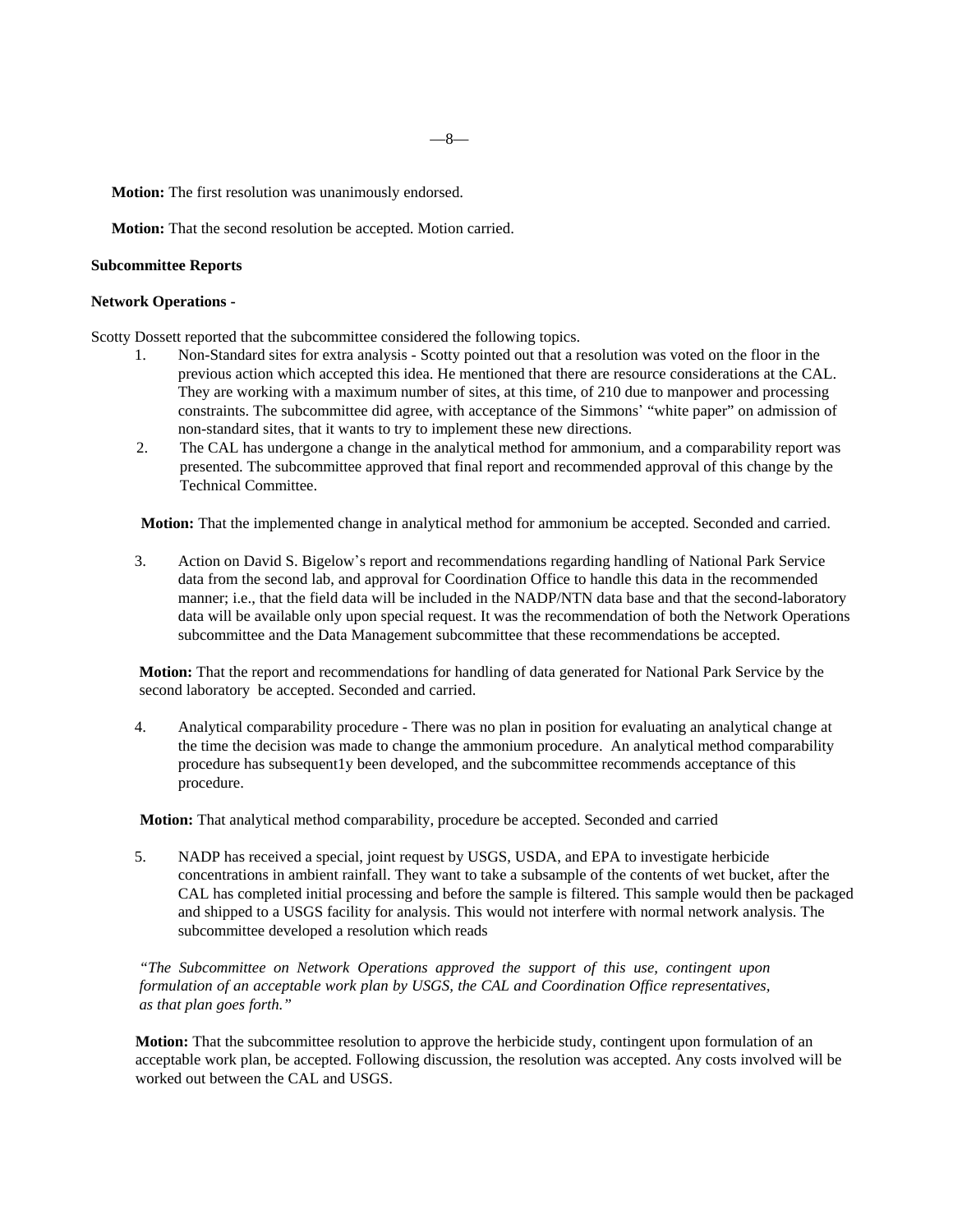—8—

**Motion:** The first resolution was unanimously endorsed.

**Motion:** That the second resolution be accepted. Motion carried.

## **Subcommittee Reports**

# **Network Operations -**

Scotty Dossett reported that the subcommittee considered the following topics.

- 1. Non-Standard sites for extra analysis Scotty pointed out that a resolution was voted on the floor in the previous action which accepted this idea. He mentioned that there are resource considerations at the CAL. They are working with a maximum number of sites, at this time, of 210 due to manpower and processing constraints. The subcommittee did agree, with acceptance of the Simmons' "white paper" on admission of non-standard sites, that it wants to try to implement these new directions.
- 2. The CAL has undergone a change in the analytical method for ammonium, and a comparability report was presented. The subcommittee approved that final report and recommended approval of this change by the Technical Committee.

**Motion:** That the implemented change in analytical method for ammonium be accepted. Seconded and carried.

3. Action on David S. Bigelow\*s report and recommendations regarding handling of National Park Service data from the second lab, and approval for Coordination Office to handle this data in the recommended manner; i.e., that the field data will be included in the NADP/NTN data base and that the second-laboratory data will be available only upon special request. It was the recommendation of both the Network Operations subcommittee and the Data Management subcommittee that these recommendations be accepted.

**Motion:** That the report and recommendations for handling of data generated for National Park Service by the second laboratory be accepted. Seconded and carried.

4. Analytical comparability procedure - There was no plan in position for evaluating an analytical change at the time the decision was made to change the ammonium procedure. An analytical method comparability procedure has subsequent1y been developed, and the subcommittee recommends acceptance of this procedure.

**Motion:** That analytical method comparability, procedure be accepted. Seconded and carried

5. NADP has received a special, joint request by USGS, USDA, and EPA to investigate herbicide concentrations in ambient rainfall. They want to take a subsample of the contents of wet bucket, after the CAL has completed initial processing and before the sample is filtered. This sample would then be packaged and shipped to a USGS facility for analysis. This would not interfere with normal network analysis. The subcommittee developed a resolution which reads

*"The Subcommittee on Network Operations approved the support of this use, contingent upon formulation of an acceptable work plan by USGS, the CAL and Coordination Office representatives, as that plan goes forth."*

**Motion:** That the subcommittee resolution to approve the herbicide study, contingent upon formulation of an acceptable work plan, be accepted. Following discussion, the resolution was accepted. Any costs involved will be worked out between the CAL and USGS.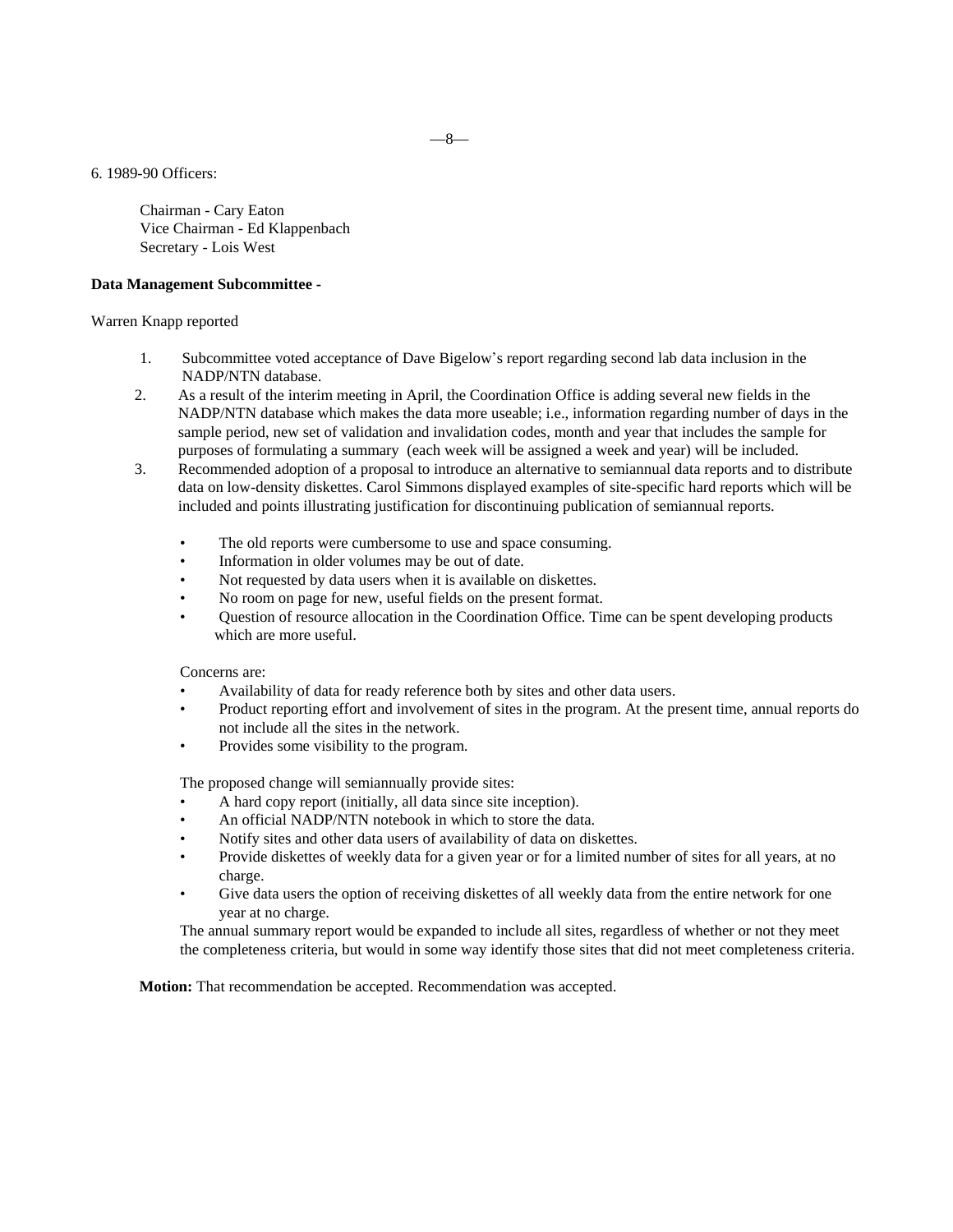6. 1989-90 Officers:

Chairman - Cary Eaton Vice Chairman - Ed Klappenbach Secretary - Lois West

#### **Data Management Subcommittee -**

Warren Knapp reported

- 1. Subcommittee voted acceptance of Dave Bigelow\*s report regarding second lab data inclusion in the NADP/NTN database.
- 2. As a result of the interim meeting in April, the Coordination Office is adding several new fields in the NADP/NTN database which makes the data more useable; i.e., information regarding number of days in the sample period, new set of validation and invalidation codes, month and year that includes the sample for purposes of formulating a summary (each week will be assigned a week and year) will be included.
- 3. Recommended adoption of a proposal to introduce an alternative to semiannual data reports and to distribute data on low-density diskettes. Carol Simmons displayed examples of site-specific hard reports which will be included and points illustrating justification for discontinuing publication of semiannual reports.
	- The old reports were cumbersome to use and space consuming.
	- Information in older volumes may be out of date.
	- Not requested by data users when it is available on diskettes.
	- No room on page for new, useful fields on the present format.
	- Question of resource allocation in the Coordination Office. Time can be spent developing products which are more useful.

Concerns are:

- Availability of data for ready reference both by sites and other data users.
- Product reporting effort and involvement of sites in the program. At the present time, annual reports do not include all the sites in the network.
- Provides some visibility to the program.

The proposed change will semiannually provide sites:

- A hard copy report (initially, all data since site inception).
- An official NADP/NTN notebook in which to store the data.
- Notify sites and other data users of availability of data on diskettes.
- Provide diskettes of weekly data for a given year or for a limited number of sites for all years, at no charge.
- Give data users the option of receiving diskettes of all weekly data from the entire network for one year at no charge.

The annual summary report would be expanded to include all sites, regardless of whether or not they meet the completeness criteria, but would in some way identify those sites that did not meet completeness criteria.

**Motion:** That recommendation be accepted. Recommendation was accepted.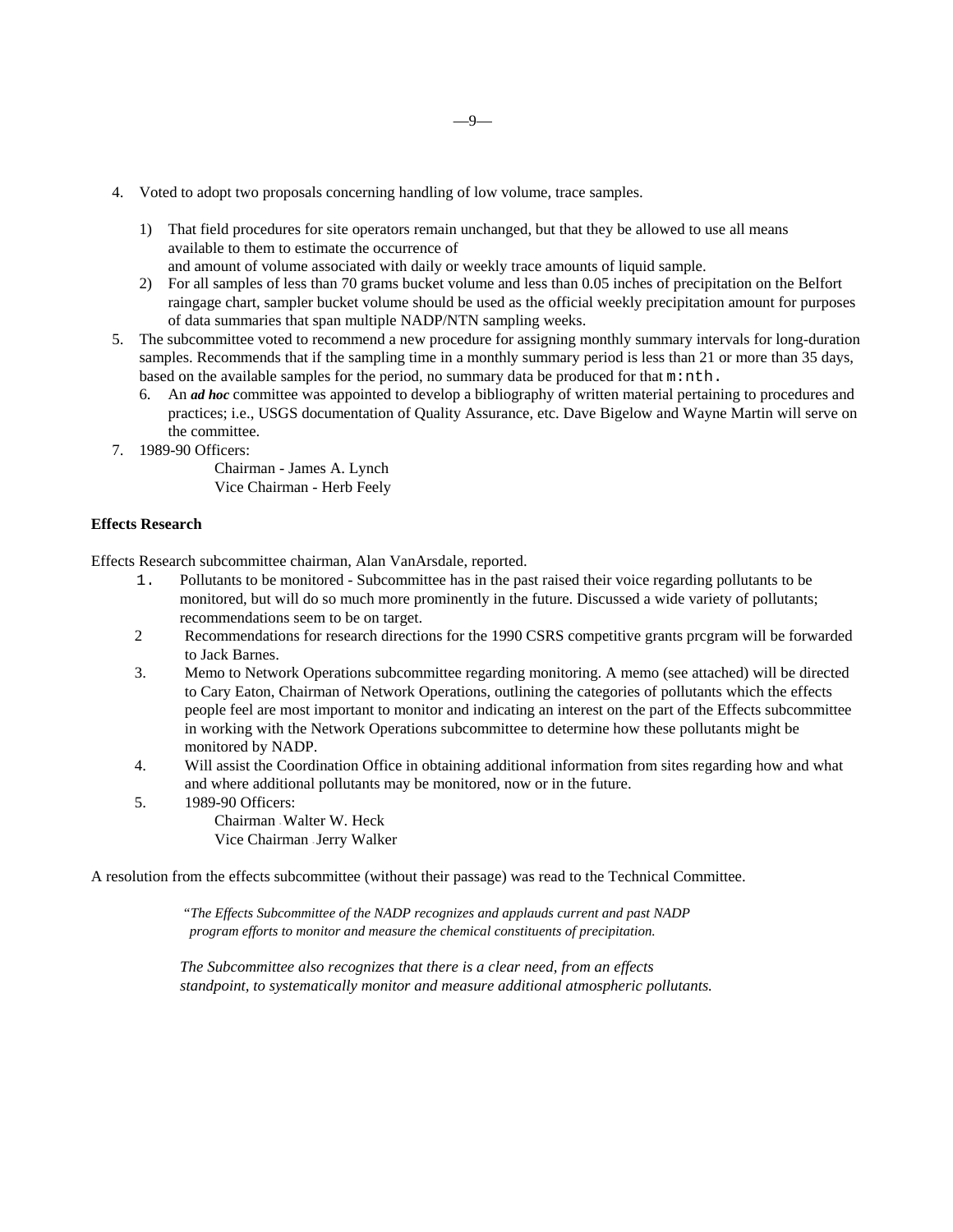- 4. Voted to adopt two proposals concerning handling of low volume, trace samples.
	- 1) That field procedures for site operators remain unchanged, but that they be allowed to use all means available to them to estimate the occurrence of

and amount of volume associated with daily or weekly trace amounts of liquid sample.

- 2) For all samples of less than 70 grams bucket volume and less than 0.05 inches of precipitation on the Belfort raingage chart, sampler bucket volume should be used as the official weekly precipitation amount for purposes of data summaries that span multiple NADP/NTN sampling weeks.
- 5. The subcommittee voted to recommend a new procedure for assigning monthly summary intervals for long-duration samples. Recommends that if the sampling time in a monthly summary period is less than 21 or more than 35 days, based on the available samples for the period, no summary data be produced for that  $m \cdot n \cdot h$ .
	- 6. An *ad hoc* committee was appointed to develop a bibliography of written material pertaining to procedures and practices; i.e., USGS documentation of Quality Assurance, etc. Dave Bigelow and Wayne Martin will serve on the committee.
- 7. 1989-90 Officers:

Chairman - James A. Lynch Vice Chairman - Herb Feely

# **Effects Research**

Effects Research subcommittee chairman, Alan VanArsdale, reported.

- 1. Pollutants to be monitored Subcommittee has in the past raised their voice regarding pollutants to be monitored, but will do so much more prominently in the future. Discussed a wide variety of pollutants; recommendations seem to be on target.
- 2 Recommendations for research directions for the 1990 CSRS competitive grants prcgram will be forwarded to Jack Barnes.
- 3. Memo to Network Operations subcommittee regarding monitoring. A memo (see attached) will be directed to Cary Eaton, Chairman of Network Operations, outlining the categories of pollutants which the effects people feel are most important to monitor and indicating an interest on the part of the Effects subcommittee in working with the Network Operations subcommittee to determine how these pollutants might be monitored by NADP.
- 4. Will assist the Coordination Office in obtaining additional information from sites regarding how and what and where additional pollutants may be monitored, now or in the future.
- 5. 1989-90 Officers:

Chairman - Walter W. Heck Vice Chairman - Jerry Walker

A resolution from the effects subcommittee (without their passage) was read to the Technical Committee.

*"The Effects Subcommittee of the NADP recognizes and applauds current and past NADP program efforts to monitor and measure the chemical constituents of precipitation.*

*The Subcommittee also recognizes that there is a clear need, from an effects standpoint, to systematically monitor and measure additional atmospheric pollutants.*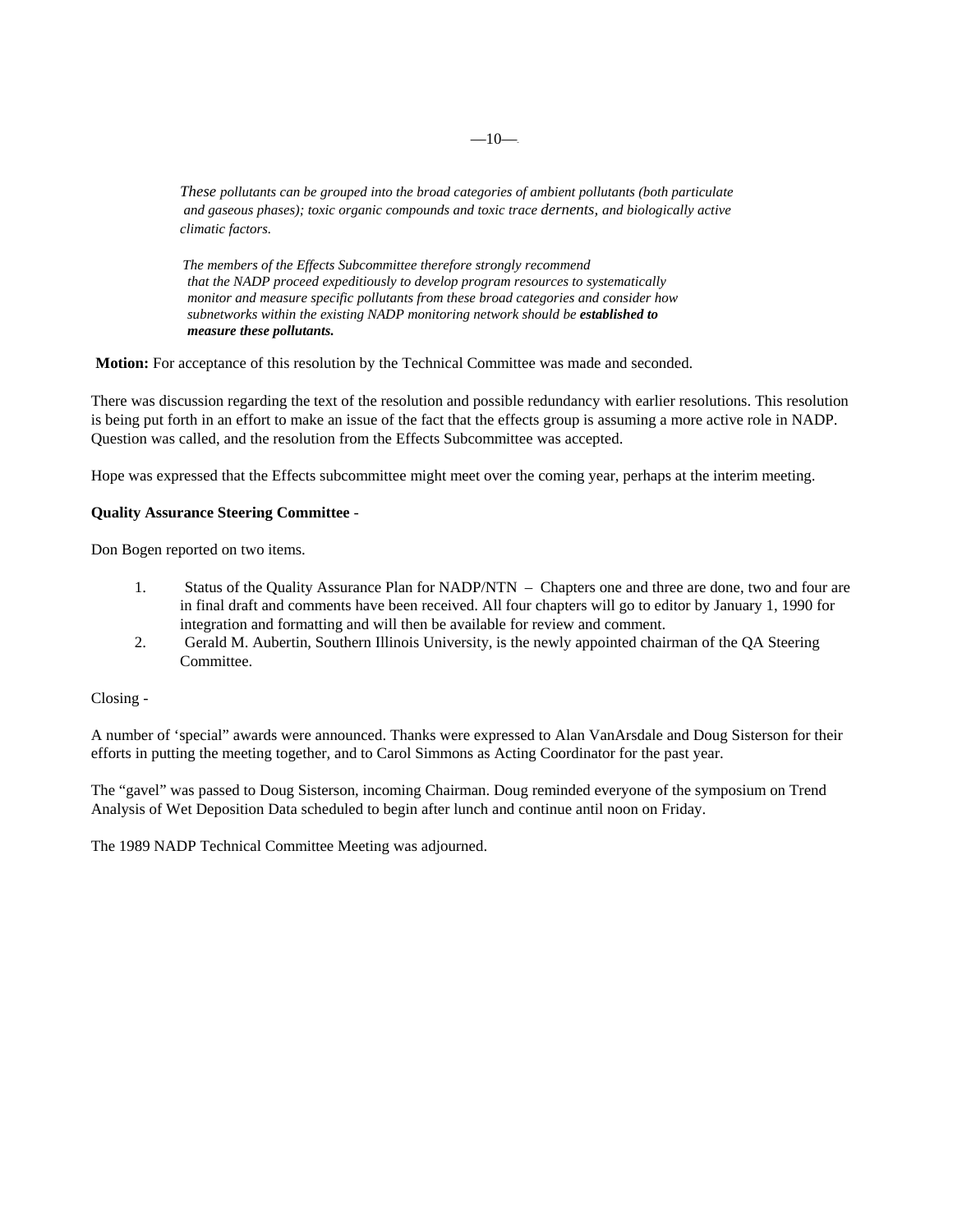*These pollutants can be grouped into the broad categories of ambient pollutants (both particulate and gaseous phases); toxic organic compounds and toxic trace dernents, and biologically active climatic factors.*

*The members of the Effects Subcommittee therefore strongly recommend that the NADP proceed expeditiously to develop program resources to systematically monitor and measure specific pollutants from these broad categories and consider how subnetworks within the existing NADP monitoring network should be established to measure these pollutants.*

**Motion:** For acceptance of this resolution by the Technical Committee was made and seconded.

There was discussion regarding the text of the resolution and possible redundancy with earlier resolutions. This resolution is being put forth in an effort to make an issue of the fact that the effects group is assuming a more active role in NADP. Question was called, and the resolution from the Effects Subcommittee was accepted.

Hope was expressed that the Effects subcommittee might meet over the coming year, perhaps at the interim meeting.

# **Quality Assurance Steering Committee** -

Don Bogen reported on two items.

- 1. Status of the Quality Assurance Plan for NADP/NTN Chapters one and three are done, two and four are in final draft and comments have been received. All four chapters will go to editor by January 1, 1990 for integration and formatting and will then be available for review and comment.
- 2. Gerald M. Aubertin, Southern Illinois University, is the newly appointed chairman of the QA Steering Committee.

Closing -

A number of 'special" awards were announced. Thanks were expressed to Alan VanArsdale and Doug Sisterson for their efforts in putting the meeting together, and to Carol Simmons as Acting Coordinator for the past year.

The "gavel" was passed to Doug Sisterson, incoming Chairman. Doug reminded everyone of the symposium on Trend Analysis of Wet Deposition Data scheduled to begin after lunch and continue antil noon on Friday.

The 1989 NADP Technical Committee Meeting was adjourned.